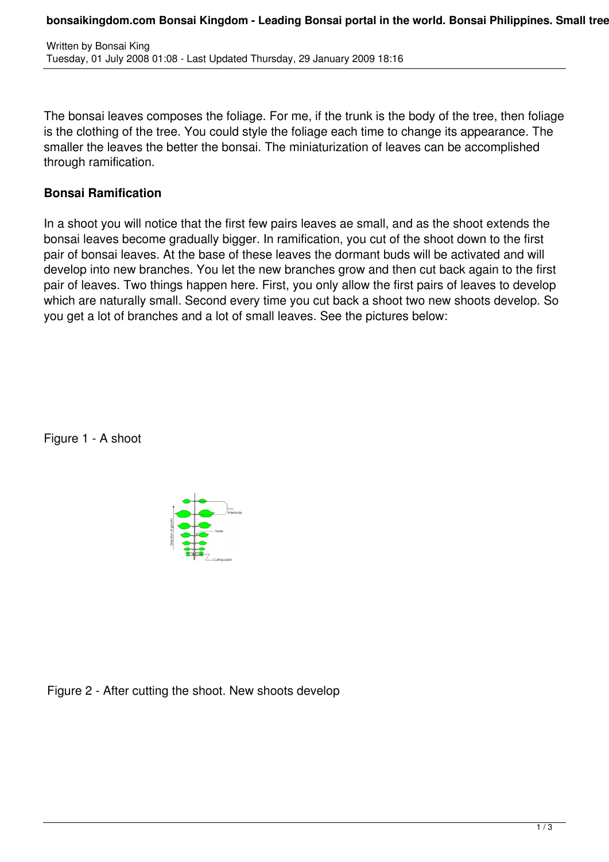The bonsai leaves composes the foliage. For me, if the trunk is the body of the tree, then foliage is the clothing of the tree. You could style the foliage each time to change its appearance. The smaller the leaves the better the bonsai. The miniaturization of leaves can be accomplished through ramification.

## **Bonsai Ramification**

In a shoot you will notice that the first few pairs leaves ae small, and as the shoot extends the bonsai leaves become gradually bigger. In ramification, you cut of the shoot down to the first pair of bonsai leaves. At the base of these leaves the dormant buds will be activated and will develop into new branches. You let the new branches grow and then cut back again to the first pair of leaves. Two things happen here. First, you only allow the first pairs of leaves to develop which are naturally small. Second every time you cut back a shoot two new shoots develop. So you get a lot of branches and a lot of small leaves. See the pictures below:

Figure 1 - A shoot



Figure 2 - After cutting the shoot. New shoots develop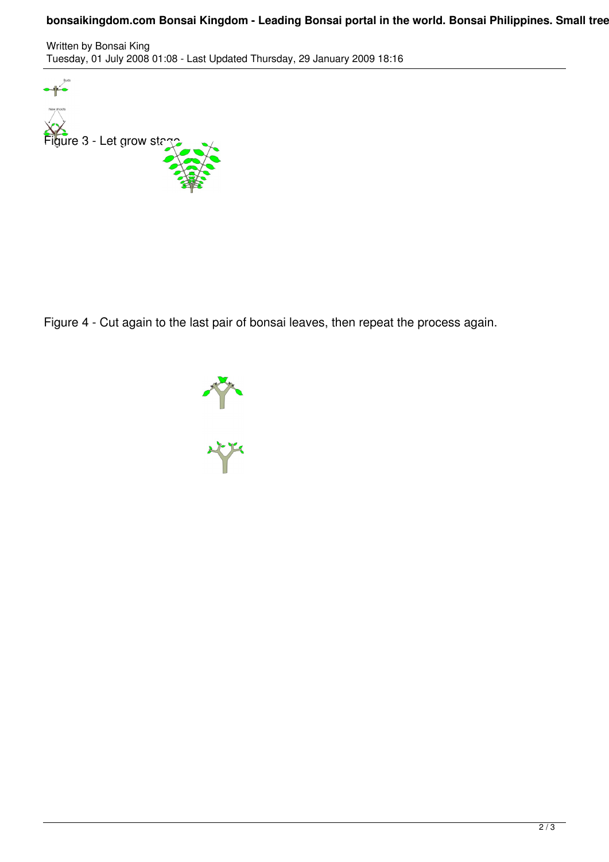## bonsaikingdom.com Bonsai Kingdom - Leading Bonsai portal in the world. Bonsai Philippines. Small tree

Written by Bonsai King Tuesday, 01 July 2008 01:08 - Last Updated Thursday, 29 January 2009 18:16



Figure 4 - Cut again to the last pair of bonsai leaves, then repeat the process again.